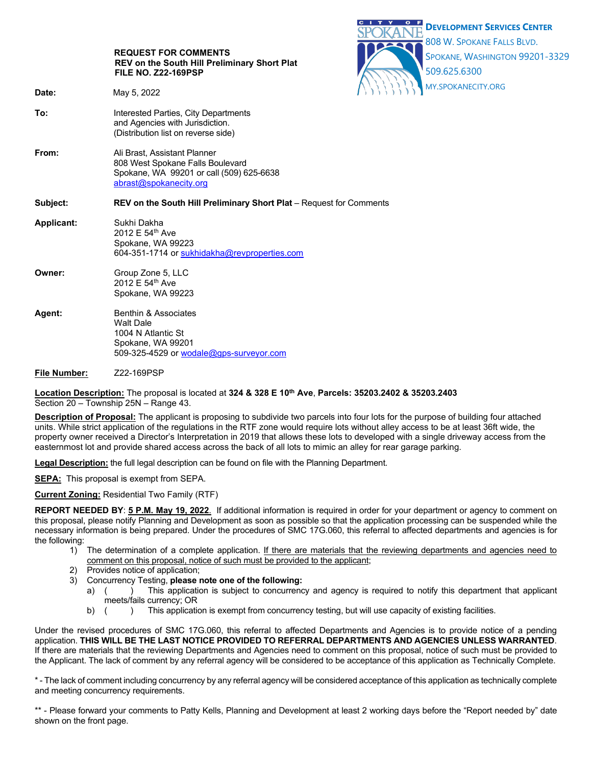

**File Number:** Z22-169PSP

**Location Description:** The proposal is located at **324 & 328 E 10th Ave**, **Parcels: 35203.2402 & 35203.2403** Section 20 – Township 25N – Range 43.

**Description of Proposal:** The applicant is proposing to subdivide two parcels into four lots for the purpose of building four attached units. While strict application of the regulations in the RTF zone would require lots without alley access to be at least 36ft wide, the property owner received a Director's Interpretation in 2019 that allows these lots to developed with a single driveway access from the easternmost lot and provide shared access across the back of all lots to mimic an alley for rear garage parking.

**Legal Description:** the full legal description can be found on file with the Planning Department.

**SEPA:** This proposal is exempt from SEPA.

**Current Zoning:** Residential Two Family (RTF)

**REPORT NEEDED BY**: **5 P.M. May 19, 2022**. If additional information is required in order for your department or agency to comment on this proposal, please notify Planning and Development as soon as possible so that the application processing can be suspended while the necessary information is being prepared. Under the procedures of SMC 17G.060, this referral to affected departments and agencies is for the following:

- 1) The determination of a complete application. If there are materials that the reviewing departments and agencies need to comment on this proposal, notice of such must be provided to the applicant;
- 2) Provides notice of application;
- 3) Concurrency Testing, **please note one of the following:**
	- a) ( ) This application is subject to concurrency and agency is required to notify this department that applicant meets/fails currency; OR
	- b) () This application is exempt from concurrency testing, but will use capacity of existing facilities.

Under the revised procedures of SMC 17G.060, this referral to affected Departments and Agencies is to provide notice of a pending application. **THIS WILL BE THE LAST NOTICE PROVIDED TO REFERRAL DEPARTMENTS AND AGENCIES UNLESS WARRANTED**. If there are materials that the reviewing Departments and Agencies need to comment on this proposal, notice of such must be provided to the Applicant. The lack of comment by any referral agency will be considered to be acceptance of this application as Technically Complete.

\* - The lack of comment including concurrency by any referral agency will be considered acceptance of this application as technically complete and meeting concurrency requirements.

\*\* - Please forward your comments to Patty Kells, Planning and Development at least 2 working days before the "Report needed by" date shown on the front page.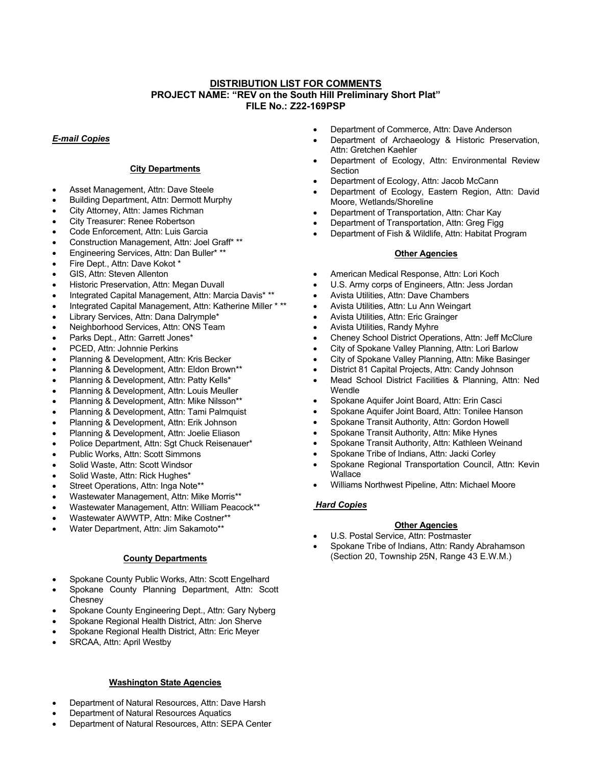## **DISTRIBUTION LIST FOR COMMENTS PROJECT NAME: "REV on the South Hill Preliminary Short Plat" FILE No.: Z22-169PSP**

## *E-mail Copies*

### **City Departments**

- Asset Management, Attn: Dave Steele
- Building Department, Attn: Dermott Murphy
- City Attorney, Attn: James Richman
- City Treasurer: Renee Robertson
- Code Enforcement, Attn: Luis Garcia
- Construction Management, Attn: Joel Graff\* \*\*
- Engineering Services, Attn: Dan Buller\* \*\*
- Fire Dept., Attn: Dave Kokot \*
- GIS, Attn: Steven Allenton
- Historic Preservation, Attn: Megan Duvall
- Integrated Capital Management, Attn: Marcia Davis\* \*\*
- Integrated Capital Management, Attn: Katherine Miller \* \*\*
- Library Services, Attn: Dana Dalrymple\*
- Neighborhood Services, Attn: ONS Team
- Parks Dept., Attn: Garrett Jones\*
- PCED, Attn: Johnnie Perkins
- Planning & Development, Attn: Kris Becker
- Planning & Development, Attn: Eldon Brown\*\*
- Planning & Development, Attn: Patty Kells\*
- Planning & Development, Attn: Louis Meuller
- Planning & Development, Attn: Mike Nilsson\*\*
- Planning & Development, Attn: Tami Palmquist
- Planning & Development, Attn: Erik Johnson
- Planning & Development, Attn: Joelie Eliason
- Police Department, Attn: Sgt Chuck Reisenauer\*
- Public Works, Attn: Scott Simmons
- Solid Waste, Attn: Scott Windsor
- Solid Waste, Attn: Rick Hughes\*
- Street Operations, Attn: Inga Note\*\*
- 
- Wastewater Management, Attn: Mike Morris\*\* • Wastewater Management, Attn: William Peacock\*\*
- Wastewater AWWTP, Attn: Mike Costner\*\*
- Water Department, Attn: Jim Sakamoto\*\*

## **County Departments**

- Spokane County Public Works, Attn: Scott Engelhard
- Spokane County Planning Department, Attn: Scott **Chesnev**
- Spokane County Engineering Dept., Attn: Gary Nyberg
- Spokane Regional Health District, Attn: Jon Sherve
- Spokane Regional Health District, Attn: Eric Meyer
- SRCAA, Attn: April Westby

# **Washington State Agencies**

- Department of Natural Resources, Attn: Dave Harsh
- Department of Natural Resources Aquatics
- Department of Natural Resources, Attn: SEPA Center
- Department of Commerce, Attn: Dave Anderson
- Department of Archaeology & Historic Preservation, Attn: Gretchen Kaehler
- Department of Ecology, Attn: Environmental Review **Section**
- Department of Ecology, Attn: Jacob McCann
- Department of Ecology, Eastern Region, Attn: David Moore, Wetlands/Shoreline
- Department of Transportation, Attn: Char Kay
	- Department of Transportation, Attn: Greg Figg
- Department of Fish & Wildlife, Attn: Habitat Program

#### **Other Agencies**

- American Medical Response, Attn: Lori Koch
- U.S. Army corps of Engineers, Attn: Jess Jordan
- Avista Utilities, Attn: Dave Chambers
- Avista Utilities, Attn: Lu Ann Weingart
- Avista Utilities, Attn: Eric Grainger
- Avista Utilities, Randy Myhre
- Cheney School District Operations, Attn: Jeff McClure
- City of Spokane Valley Planning, Attn: Lori Barlow
- City of Spokane Valley Planning, Attn: Mike Basinger
- District 81 Capital Projects, Attn: Candy Johnson
- Mead School District Facilities & Planning, Attn: Ned Wendle
- Spokane Aquifer Joint Board, Attn: Erin Casci
- Spokane Aquifer Joint Board, Attn: Tonilee Hanson
- Spokane Transit Authority, Attn: Gordon Howell
- Spokane Transit Authority, Attn: Mike Hynes
- Spokane Transit Authority, Attn: Kathleen Weinand
- Spokane Tribe of Indians, Attn: Jacki Corley
- Spokane Regional Transportation Council, Attn: Kevin **Wallace**
- Williams Northwest Pipeline, Attn: Michael Moore

### *Hard Copies*

### **Other Agencies**

- U.S. Postal Service, Attn: Postmaster
- Spokane Tribe of Indians, Attn: Randy Abrahamson (Section 20, Township 25N, Range 43 E.W.M.)